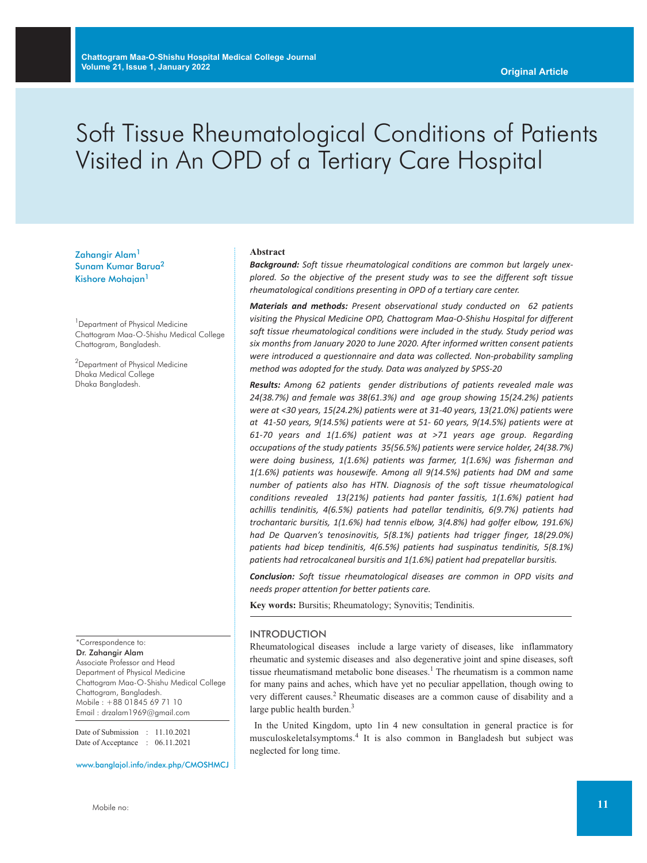# Soft Tissue Rheumatological Conditions of Patients Visited in An OPD of a Tertiary Care Hospital

Zahangir Alam<sup>1</sup> Sunam Kumar Barua<sup>2</sup> Kishore Mohajan<sup>1</sup>

<sup>1</sup> Department of Physical Medicine Chattogram Maa-O-Shishu Medical College Chattogram, Bangladesh.

<sup>2</sup>Department of Physical Medicine Dhaka Medical College Dhaka Bangladesh.

\*Correspondence to:

Dr. Zahangir Alam Associate Professor and Head Department of Physical Medicine Chattogram Maa-O-Shishu Medical College Chattogram, Bangladesh. Mobile : +88 01845 69 71 10 Email : drzalam1969@gmail.com

Date of Submission : 11.10.2021 Date of Acceptance : 06.11.2021

www.banglajol.info/index.php/CMOSHMCJ

#### **Abstract**

*Background: Soft tissue rheumatological conditions are common but largely unexplored. So the objective of the present study was to see the different soft tissue rheumatological conditions presenting in OPD of a tertiary care center.*

*Materials and methods: Present observational study conducted on 62 patients visiting the Physical Medicine OPD, Chattogram Maa-O-Shishu Hospital for different soft tissue rheumatological conditions were included in the study. Study period was six months from January 2020 to June 2020. After informed written consent patients were introduced a questionnaire and data was collected. Non-probability sampling method was adopted for the study. Data was analyzed by SPSS-20*

*Results: Among 62 patients gender distributions of patients revealed male was 24(38.7%) and female was 38(61.3%) and age group showing 15(24.2%) patients were at <30 years, 15(24.2%) patients were at 31-40 years, 13(21.0%) patients were at 41-50 years, 9(14.5%) patients were at 51- 60 years, 9(14.5%) patients were at 61-70 years and 1(1.6%) patient was at >71 years age group. Regarding occupations of the study patients 35(56.5%) patients were service holder, 24(38.7%) were doing business, 1(1.6%) patients was farmer, 1(1.6%) was fisherman and 1(1.6%) patients was housewife. Among all 9(14.5%) patients had DM and same number of patients also has HTN. Diagnosis of the soft tissue rheumatological conditions revealed 13(21%) patients had panter fassitis, 1(1.6%) patient had achillis tendinitis, 4(6.5%) patients had patellar tendinitis, 6(9.7%) patients had trochantaric bursitis, 1(1.6%) had tennis elbow, 3(4.8%) had golfer elbow, 191.6%) had De Quarven's tenosinovitis, 5(8.1%) patients had trigger finger, 18(29.0%) patients had bicep tendinitis, 4(6.5%) patients had suspinatus tendinitis, 5(8.1%) patients had retrocalcaneal bursitis and 1(1.6%) patient had prepatellar bursitis.*

*Conclusion: Soft tissue rheumatological diseases are common in OPD visits and needs proper attention for better patients care.*

**Key words:** Bursitis; Rheumatology; Synovitis; Tendinitis.

# INTRODUCTION

Rheumatological diseases include a large variety of diseases, like inflammatory rheumatic and systemic diseases and also degenerative joint and spine diseases, soft tissue rheumatismand metabolic bone diseases. <sup>1</sup> The rheumatism is a common name for many pains and aches, which have yet no peculiar appellation, though owing to very different causes. <sup>2</sup> Rheumatic diseases are a common cause of disability and a large public health burden.<sup>3</sup>

In the United Kingdom, upto 1in 4 new consultation in general practice is for musculoskeletalsymptoms. <sup>4</sup> It is also common in Bangladesh but subject was neglected for long time.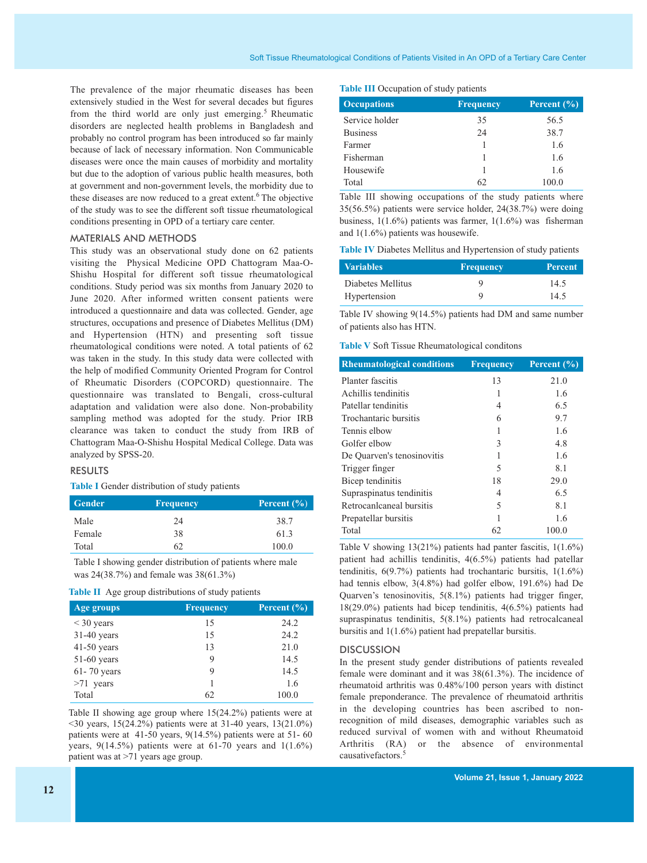The prevalence of the major rheumatic diseases has been extensively studied in the West for several decades but figures from the third world are only just emerging.<sup>5</sup> Rheumatic disorders are neglected health problems in Bangladesh and probably no control program has been introduced so far mainly because of lack of necessary information. Non Communicable diseases were once the main causes of morbidity and mortality but due to the adoption of various public health measures, both at government and non-government levels, the morbidity due to these diseases are now reduced to a great extent. <sup>6</sup> The objective of the study was to see the different soft tissue rheumatological conditions presenting in OPD of a tertiary care center.

# MATERIALS AND METHODS

This study was an observational study done on 62 patients visiting the Physical Medicine OPD Chattogram Maa-O-Shishu Hospital for different soft tissue rheumatological conditions. Study period was six months from January 2020 to June 2020. After informed written consent patients were introduced a questionnaire and data was collected. Gender, age structures, occupations and presence of Diabetes Mellitus (DM) and Hypertension (HTN) and presenting soft tissue rheumatological conditions were noted. A total patients of 62 was taken in the study. In this study data were collected with the help of modified Community Oriented Program for Control of Rheumatic Disorders (COPCORD) questionnaire. The questionnaire was translated to Bengali, cross-cultural adaptation and validation were also done. Non-probability sampling method was adopted for the study. Prior IRB clearance was taken to conduct the study from IRB of Chattogram Maa-O-Shishu Hospital Medical College. Data was analyzed by SPSS-20.

### RESULTS

# **Table I** Gender distribution of study patients

| <b>Gender</b> | <b>Frequency</b> | Percent $(\% )$ |
|---------------|------------------|-----------------|
| Male          | 24               | 38.7            |
| Female        | 38               | 61.3            |
| Total         | 62               | 100.0           |

Table I showing gender distribution of patients where male was 24(38.7%) and female was 38(61.3%)

#### **Table II** Age group distributions of study patients

| Age groups    | <b>Frequency</b> | Percent $(\% )$ |
|---------------|------------------|-----------------|
| $<$ 30 years  | 15               | 24.2            |
| $31-40$ years | 15               | 24.2            |
| $41-50$ years | 13               | 21.0            |
| $51-60$ years | 9                | 14.5            |
| 61-70 years   | 9                | 14.5            |
| $>71$ years   |                  | 1.6             |
| Total         | 62               | 100.0           |

Table II showing age group where 15(24.2%) patients were at <30 years, 15(24.2%) patients were at 31-40 years, 13(21.0%) patients were at 41-50 years, 9(14.5%) patients were at 51- 60 years,  $9(14.5\%)$  patients were at 61-70 years and  $1(1.6\%)$ patient was at >71 years age group.

#### **Table III** Occupation of study patients

| <b>Occupations</b> | <b>Frequency</b> | Percent $(\% )$ |
|--------------------|------------------|-----------------|
| Service holder     | 35               | 56.5            |
| <b>Business</b>    | 24               | 38.7            |
| Farmer             |                  | 1.6             |
| Fisherman          |                  | 1.6             |
| Housewife          |                  | 1.6             |
| Total              | 62               | 100.0           |

Table III showing occupations of the study patients where 35(56.5%) patients were service holder, 24(38.7%) were doing business, 1(1.6%) patients was farmer, 1(1.6%) was fisherman and 1(1.6%) patients was housewife.

**Table IV** Diabetes Mellitus and Hypertension of study patients

| <b>Variables</b>  | <b>Frequency</b> | <b>Percent</b> |
|-------------------|------------------|----------------|
| Diabetes Mellitus | Q                | 14.5           |
| Hypertension      |                  | 14.5           |

Table IV showing 9(14.5%) patients had DM and same number of patients also has HTN.

**Table V** Soft Tissue Rheumatological conditons

| <b>Rheumatological conditions</b> | <b>Frequency</b> | Percent $(\% )$ |
|-----------------------------------|------------------|-----------------|
| Planter fascitis                  | 13               | 21.0            |
| Achillis tendinitis               | 1                | 1.6             |
| Patellar tendinitis               | 4                | 6.5             |
| Trochantaric bursitis             | 6                | 9.7             |
| Tennis elbow                      | 1                | 1.6             |
| Golfer elbow                      | 3                | 4.8             |
| De Quarven's tenosinovitis        |                  | 1.6             |
| Trigger finger                    | 5                | 8.1             |
| Bicep tendinitis                  | 18               | 29.0            |
| Supraspinatus tendinitis          | 4                | 6.5             |
| Retrocanlcaneal bursitis          | 5                | 8.1             |
| Prepatellar bursitis              |                  | 1.6             |
| Total                             | 62               | 100.0           |

Table V showing 13(21%) patients had panter fascitis, 1(1.6%) patient had achillis tendinitis, 4(6.5%) patients had patellar tendinitis, 6(9.7%) patients had trochantaric bursitis, 1(1.6%) had tennis elbow, 3(4.8%) had golfer elbow, 191.6%) had De Quarven's tenosinovitis, 5(8.1%) patients had trigger finger, 18(29.0%) patients had bicep tendinitis, 4(6.5%) patients had supraspinatus tendinitis, 5(8.1%) patients had retrocalcaneal bursitis and 1(1.6%) patient had prepatellar bursitis.

#### **DISCUSSION**

In the present study gender distributions of patients revealed female were dominant and it was 38(61.3%). The incidence of rheumatoid arthritis was 0.48%/100 person years with distinct female preponderance. The prevalence of rheumatoid arthritis in the developing countries has been ascribed to nonrecognition of mild diseases, demographic variables such as reduced survival of women with and without Rheumatoid Arthritis (RA) or the absence of environmental causativefactors. 5